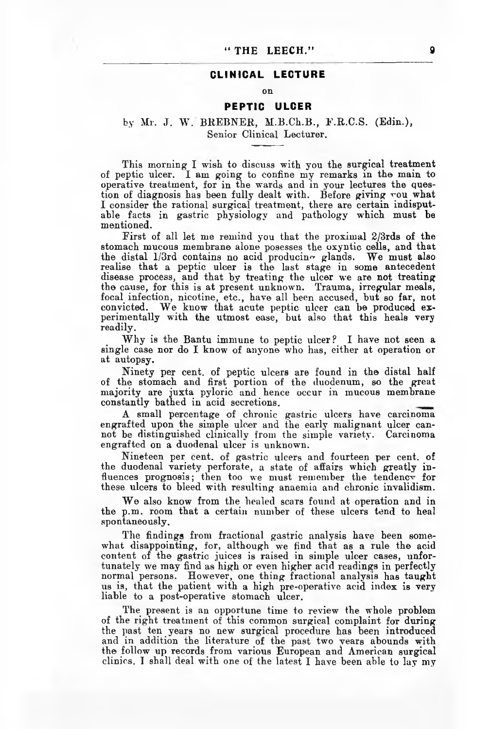## CLINICAL LECTURE

#### on

#### PEPTIC ULCER

## by Mr. J. W. BREBNER, H.B.Ch.B., E.R.C.S. (Edin.), Senior Clinical Lecturer.

This morning I wish to discuss with you the surgical treatment of peptic ulcer. I am going to confine my remarks in the main to operative treatment, for in the wards and in your lectures the question of diagnosis has been fully dealt with. Before giving rou what I consider the rational surgical treatment, there are certain indisputable facts in gastric physiology and pathology which must be mentioned.

First of all let me remind you that the proximal 2/3rds of the stomach mucous membrane alone posesses the oxyntic cells, and that the distal 1/3rd contains no acid producing glands. We must also realise that a peptic ulcer is the last stage in some antecedent disease process, and that by treating the ulcer we are not treating the cause, for this is at present unknowm. Trauma, irregular meals, focal infection, nicotine, etc., have all been accused, but so far, not convicted. We know that acute peptic ulcer can be produced experimentally with the utmost ease, but also that this heals very readily.

Why is the Bantu immune to peptic ulcer? I have not seen a single case nor do I know of anyone who has, either at operation or at autopsy.

Ninety per cent, of peptic ulcers are found in the distal half of the stomach and first portion of the duodenum, so the great majority are juxta pyloric and hence occur in mucous membrane constantly bathed in acid secretions.

A small percentage of chronic gastric ulcers have carcinoma engrafted upon the simple ulcer and the early malignant ulcer cannot be distinguished clinically from the simple variety. Carcinoma engrafted on a duodenal ulcer is unknown.

Nineteen per cent, of gastric ulcers and fourteen per cent, of the duodenal variety perforate, a state of affairs which greatly influences prognosis; then too we must remember the tendency for these ulcers to bleed with resulting anaemia and chronic invalidism.

We also know from the healed scars found at operation and in the p.m. room that a certain number of these ulcers tend to heal spontaneously.

The findings from fractional gastric analysis have been somewhat disappointing, for, although *we* find that as a rule the acid content of the gastric juices is raised in simple ulcer cases, unfortunately we may find as high or even higher acid readings in perfectly normal persons. However, one thing fractional analysis has taught us is, that the patient with a high pre-operative acid index is very liable to a post-operative stomach ulcer.

The present is an opportune time to review the whole problem of the right treatment of this common surgical complaint for during the past ten years no new surgical procedure has been introduced and in addition the literature of the past two years abounds with the follow up records from various European and American surgical clinics. I shall deal with one of the latest I have been able to lay my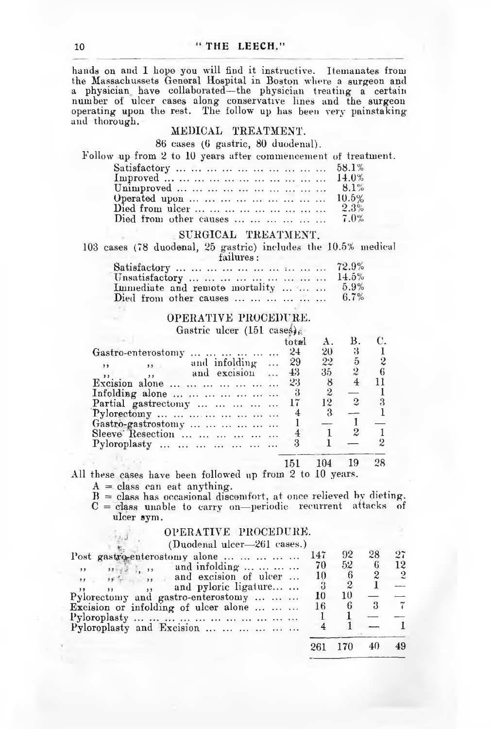hands on and I hope you will find it instructive. Itemanates from the Massachussets General Hospital in Boston where a surgeon and a physician have collaborated—the physician treating a certain number of ulcer cases along conservative lines and the surgeon operating upon the rest. The follow up has been very painstaking and thorough.

#### MEDICAL TREATMENT.

86 cases (6 gastric, 80 duodenal).

#### Follow up from 2 to 10 years after commencement of treatment.

| Satisfactory          58.1%          |  |
|--------------------------------------|--|
| Improved          14.0%              |  |
| Unimproved          8.1%             |  |
| Operated upon         10.5%          |  |
| Died from ulcer         2.3%         |  |
| Died from other causes $\ldots$ 7.0% |  |

## SURGICAL TREATMENT.

103 cases (78 duodenal, 25 gastric) includes the 10.5% medical

## failures:

| Satisfactory          72.9%                            |         |
|--------------------------------------------------------|---------|
| Unsatisfactory         14.5%                           |         |
| Immediate and remote mortality                         | 5.9%    |
| Died from other causes $\dots \dots \dots \dots \dots$ | $6.7\%$ |

# OPERATIVE PROCEDURE.

Gastric ulcer (151 cases)  $\epsilon$ 

|         |                                 | a fræri |        |                |  |
|---------|---------------------------------|---------|--------|----------------|--|
|         | Gastro-enterostomy              | $2+$    | 20     | 3              |  |
| , ,     | $\ldots$ and infolding $\ldots$ | 29      | $22 -$ | 5              |  |
| $5.3 -$ | ,, and excision                 | 43      | 35-    | $\overline{2}$ |  |
|         | Excision alone                  | 23      | 8      |                |  |
|         | Infolding alone                 | 3       | 2      |                |  |
|         | Partial gastrectomy             | 17      | 12     | $\overline{2}$ |  |
|         | Pylorectomy                     |         |        |                |  |
|         | Gastro-gastrostomy              |         |        |                |  |
|         | Sleeve Resection                |         |        | 2              |  |
|         | Pyloroplasty                    |         |        |                |  |
|         |                                 |         |        | 19             |  |

All these cases have been followed up from 2 to 10 years.

 $A = class can eat anything.$ 

 $B =$  class has occasional discomfort, at once relieved by dieting.  $C =$  class unable to carry on-periodic recurrent attacks of

# ulcer sym.

## OPERATIVE PROCEDURE.

(Duodenal ulcer—261 cases.)

| Post gastro-enterostomy alone     147        |     | $92^{\circ}$ | 28 | 97             |
|----------------------------------------------|-----|--------------|----|----------------|
| and infolding<br>$12. 32 - 32$               | -70 | $52-$        | -6 | 12             |
| $\cdots$ if $\vdots$ , and excision of ulcer | 10  |              |    | $\overline{2}$ |
| and pyloric ligature                         |     |              |    |                |
| Pylorectomy and gastro-enterostomy           | 10  | 10           |    |                |
| Excision or infolding of ulcer alone         | 16  |              |    |                |
|                                              |     |              |    |                |
| Pyloroplasty and Excision                    |     |              |    |                |
|                                              |     | 261 170      | 40 | 49             |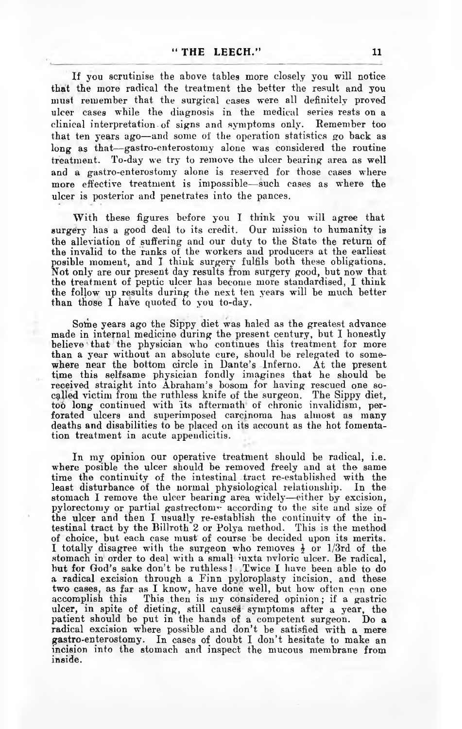If you scrutinise the above tables more closely you will notice that the more radical the treatment the better the result and you must remember that the surgical cases were all definitely proved ulcer cases while the diagnosis in the medical series rests on a clinical interpretation-of signs and symptoms only. Remember too that ten years ago—and some of the operation statistics go back as long as that— gastro-enterostomy alone was considered the routine treatment. To-day we try to remove the ulcer bearing area as well and a gastro-enterostomy alone is reserved for those cases where more effective treatment is impossible—such cases as where the ulcer is posterior and penetrates into the pances.

With these figures before you I think you will agree that surgery has a good deal to its credit. Our mission to humanity is the alleviation of suffering and our duty to the State the return of the invalid to the ranks of the workers and producers at the earliest posible moment, and I think surgery fulfils both these obligations. Not only are our present day results from surgery good, but now that the treatment of peptic ulcer has become more standardised, I think the follow up results during the next ten years will be much better than those  $\overline{I}$  have quoted to you to-day.

Some years ago the Sippy diet was haled as the greatest advance made in internal medicine during the present century, but I honestly believe that the physician who continues this treatment for more than a year without an absolute cure, should be relegated to somewhere near the bottom circle in Dante's Inferno. At the present time this selfsame physician fondly imagines that he should be received straight into Abraham's bosom for having rescued one socalled victim from the ruthless knife of the surgeon. The Sippy diet, too long continued with its aftermath of chronic invalidism, perforated ulcers and superimposed carcinoma has almost as many deaths and disabilities to be placed on its account as the hot fomentation treatment in acute appendicitis.

In my opinion our operative treatment should be radical, i.e. where posible the ulcer should be removed freely and at the same time the continuity of the intestinal tract re-established with the least disturbance of the normal physiological relationship. In the stomach I remove the ulcer bearing area widely—either by excision, pylorectomy or partial gastrectom $\overline{r}$  according to the site and size of the ulcer and then I usually re-establish the continuity of the intestinal tract by the Billroth 2 or Polya method. This is the method of choice, but each case must of course be decided upon its merits. I totally disagree with the surgeon who removes  $\frac{1}{2}$  or 1/3rd of the stomach in order to deal with a small juxta nyloric ulcer. Be radical, but for God's sake don't be ruthless! Twice I have been able to do a radical excision through a Finn pyloroplasty incision, and these two cases, as far as I know, have done well, but how often can one accomplish this This then is my considered opinion; if a gastric ulcer, in spite of dieting, still causes symptoms after a year, the patient should be put in the hands of a competent surgeon. Do a radical excision where possible and don't be satisfied with a mere gastro-enterostomy. In cases of doubt I don't hesitate to make an incision into the stomach and inspect the mucous membrane from inside.